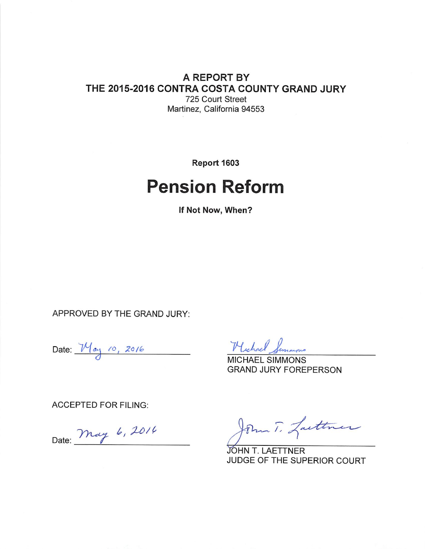### A REPORT BY THE 2015-2016 CONTRA COSTA COUNTY GRAND JURY 725 Court Street Martinez, California 94553

Report 1603

# **Pension Reform**

If Not Now, When?

APPROVED BY THE GRAND JURY:

Date:  $M_{ay}$  10, 2016

Hichael Simmons

**MICHAEL SIMMONS GRAND JURY FOREPERSON** 

**ACCEPTED FOR FILING:** 

Date: May 6, 2014

John T. Lasttner

JOHN T. LAETTNER JUDGE OF THE SUPERIOR COURT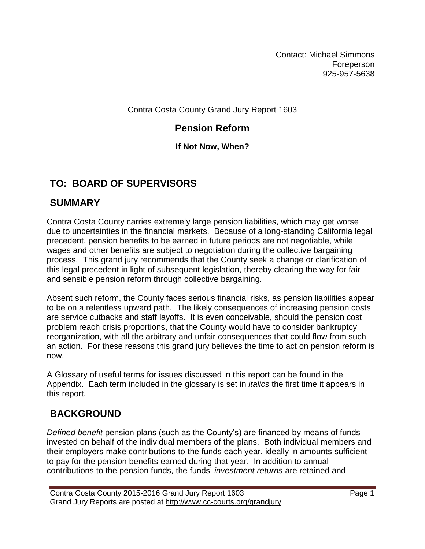Contact: Michael Simmons **Foreperson** 925-957-5638

Contra Costa County Grand Jury Report 1603

## **Pension Reform**

## **If Not Now, When?**

# **TO: BOARD OF SUPERVISORS**

# **SUMMARY**

Contra Costa County carries extremely large pension liabilities, which may get worse due to uncertainties in the financial markets. Because of a long-standing California legal precedent, pension benefits to be earned in future periods are not negotiable, while wages and other benefits are subject to negotiation during the collective bargaining process. This grand jury recommends that the County seek a change or clarification of this legal precedent in light of subsequent legislation, thereby clearing the way for fair and sensible pension reform through collective bargaining.

Absent such reform, the County faces serious financial risks, as pension liabilities appear to be on a relentless upward path. The likely consequences of increasing pension costs are service cutbacks and staff layoffs. It is even conceivable, should the pension cost problem reach crisis proportions, that the County would have to consider bankruptcy reorganization, with all the arbitrary and unfair consequences that could flow from such an action. For these reasons this grand jury believes the time to act on pension reform is now.

A Glossary of useful terms for issues discussed in this report can be found in the Appendix. Each term included in the glossary is set in *italics* the first time it appears in this report.

# **BACKGROUND**

*Defined benefit* pension plans (such as the County's) are financed by means of funds invested on behalf of the individual members of the plans. Both individual members and their employers make contributions to the funds each year, ideally in amounts sufficient to pay for the pension benefits earned during that year. In addition to annual contributions to the pension funds, the funds' *investment returns* are retained and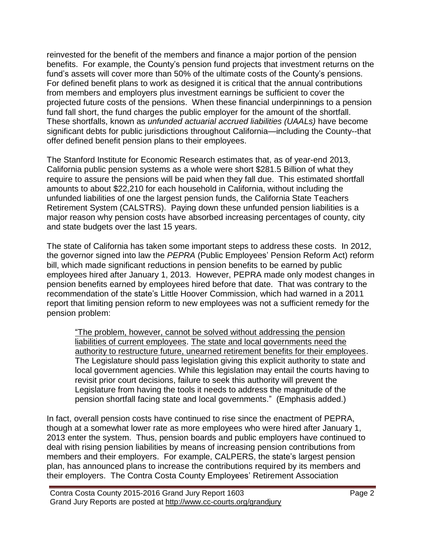reinvested for the benefit of the members and finance a major portion of the pension benefits. For example, the County's pension fund projects that investment returns on the fund's assets will cover more than 50% of the ultimate costs of the County's pensions. For defined benefit plans to work as designed it is critical that the annual contributions from members and employers plus investment earnings be sufficient to cover the projected future costs of the pensions. When these financial underpinnings to a pension fund fall short, the fund charges the public employer for the amount of the shortfall. These shortfalls, known as *unfunded actuarial accrued liabilities (UAALs)* have become significant debts for public jurisdictions throughout California—including the County--that offer defined benefit pension plans to their employees.

The Stanford Institute for Economic Research estimates that, as of year-end 2013, California public pension systems as a whole were short \$281.5 Billion of what they require to assure the pensions will be paid when they fall due. This estimated shortfall amounts to about \$22,210 for each household in California, without including the unfunded liabilities of one the largest pension funds, the California State Teachers Retirement System (CALSTRS). Paying down these unfunded pension liabilities is a major reason why pension costs have absorbed increasing percentages of county, city and state budgets over the last 15 years.

The state of California has taken some important steps to address these costs. In 2012, the governor signed into law the *PEPRA* (Public Employees' Pension Reform Act) reform bill, which made significant reductions in pension benefits to be earned by public employees hired after January 1, 2013. However, PEPRA made only modest changes in pension benefits earned by employees hired before that date. That was contrary to the recommendation of the state's Little Hoover Commission, which had warned in a 2011 report that limiting pension reform to new employees was not a sufficient remedy for the pension problem:

"The problem, however, cannot be solved without addressing the pension liabilities of current employees. The state and local governments need the authority to restructure future, unearned retirement benefits for their employees. The Legislature should pass legislation giving this explicit authority to state and local government agencies. While this legislation may entail the courts having to revisit prior court decisions, failure to seek this authority will prevent the Legislature from having the tools it needs to address the magnitude of the pension shortfall facing state and local governments." (Emphasis added.)

In fact, overall pension costs have continued to rise since the enactment of PEPRA, though at a somewhat lower rate as more employees who were hired after January 1, 2013 enter the system. Thus, pension boards and public employers have continued to deal with rising pension liabilities by means of increasing pension contributions from members and their employers. For example, CALPERS, the state's largest pension plan, has announced plans to increase the contributions required by its members and their employers. The Contra Costa County Employees' Retirement Association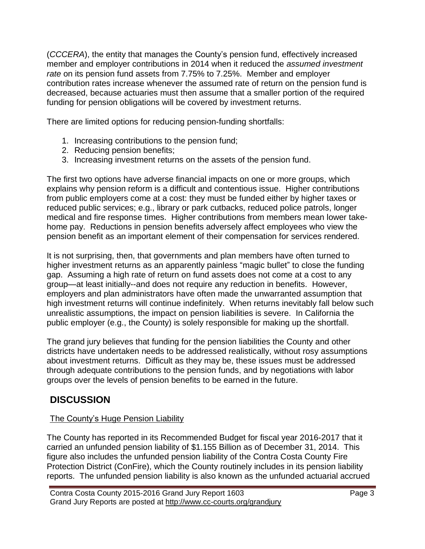(*CCCERA*), the entity that manages the County's pension fund, effectively increased member and employer contributions in 2014 when it reduced the *assumed investment rate* on its pension fund assets from 7.75% to 7.25%. Member and employer contribution rates increase whenever the assumed rate of return on the pension fund is decreased, because actuaries must then assume that a smaller portion of the required funding for pension obligations will be covered by investment returns.

There are limited options for reducing pension-funding shortfalls:

- 1. Increasing contributions to the pension fund;
- 2. Reducing pension benefits;
- 3. Increasing investment returns on the assets of the pension fund.

The first two options have adverse financial impacts on one or more groups, which explains why pension reform is a difficult and contentious issue. Higher contributions from public employers come at a cost: they must be funded either by higher taxes or reduced public services; e.g., library or park cutbacks, reduced police patrols, longer medical and fire response times. Higher contributions from members mean lower takehome pay. Reductions in pension benefits adversely affect employees who view the pension benefit as an important element of their compensation for services rendered.

It is not surprising, then, that governments and plan members have often turned to higher investment returns as an apparently painless "magic bullet" to close the funding gap. Assuming a high rate of return on fund assets does not come at a cost to any group—at least initially--and does not require any reduction in benefits. However, employers and plan administrators have often made the unwarranted assumption that high investment returns will continue indefinitely. When returns inevitably fall below such unrealistic assumptions, the impact on pension liabilities is severe. In California the public employer (e.g., the County) is solely responsible for making up the shortfall.

The grand jury believes that funding for the pension liabilities the County and other districts have undertaken needs to be addressed realistically, without rosy assumptions about investment returns. Difficult as they may be, these issues must be addressed through adequate contributions to the pension funds, and by negotiations with labor groups over the levels of pension benefits to be earned in the future.

# **DISCUSSION**

## The County's Huge Pension Liability

The County has reported in its Recommended Budget for fiscal year 2016-2017 that it carried an unfunded pension liability of \$1.155 Billion as of December 31, 2014. This figure also includes the unfunded pension liability of the Contra Costa County Fire Protection District (ConFire), which the County routinely includes in its pension liability reports. The unfunded pension liability is also known as the unfunded actuarial accrued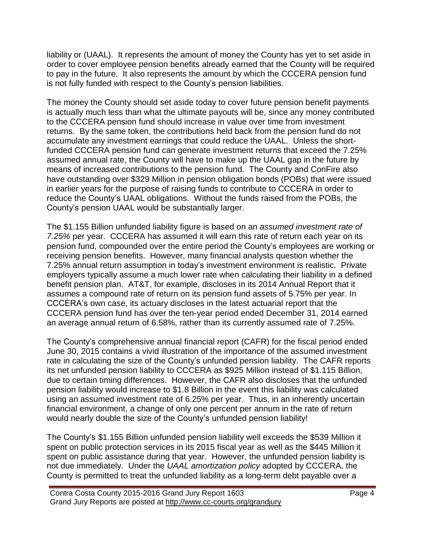liability or (UAAL). It represents the amount of money the County has yet to set aside in order to cover employee pension benefits already earned that the County will be required to pay in the future. It also represents the amount by which the CCCERA pension fund is not fully funded with respect to the County's pension liabilities.

The money the County should set aside today to cover future pension benefit payments is actually much less than what the ultimate payouts will be, since any money contributed to the CCCERA pension fund should increase in value over time from investment returns. By the same token, the contributions held back from the pension fund do not accumulate any investment earnings that could reduce the UAAL. Unless the shortfunded CCCERA pension fund can generate investment returns that exceed the 7.25% assumed annual rate, the County will have to make up the UAAL gap in the future by means of increased contributions to the pension fund. The County and ConFire also have outstanding over \$329 Million in pension obligation bonds (POBs) that were issued in earlier years for the purpose of raising funds to contribute to CCCERA in order to reduce the County's UAAL obligations. Without the funds raised from the POBs, the County's pension UAAL would be substantially larger.

The \$1.155 Billion unfunded liability figure is based on an *assumed investment rate of 7.25%* per year. CCCERA has assumed it will earn this rate of return each year on its pension fund, compounded over the entire period the County's employees are working or receiving pension benefits. However, many financial analysts question whether the 7.25% annual return assumption in today's investment environment is realistic. Private employers typically assume a much lower rate when calculating their liability in a defined benefit pension plan. AT&T, for example, discloses in its 2014 Annual Report that it assumes a compound rate of return on its pension fund assets of 5.75% per year. In CCCERA's own case, its actuary discloses in the latest actuarial report that the CCCERA pension fund has over the ten-year period ended December 31, 2014 earned an average annual return of 6.58%, rather than its currently assumed rate of 7.25%.

The County's comprehensive annual financial report (CAFR) for the fiscal period ended June 30, 2015 contains a vivid illustration of the importance of the assumed investment rate in calculating the size of the County's unfunded pension liability. The CAFR reports its net unfunded pension liability to CCCERA as \$925 Million instead of \$1.115 Billion, due to certain timing differences. However, the CAFR also discloses that the unfunded pension liability would increase to \$1.8 Billion in the event this liability was calculated using an assumed investment rate of 6.25% per year. Thus, in an inherently uncertain financial environment, a change of only one percent per annum in the rate of return would nearly double the size of the County's unfunded pension liability!

The County's \$1.155 Billion unfunded pension liability well exceeds the \$539 Million it spent on public protection services in its 2015 fiscal year as well as the \$445 Million it spent on public assistance during that year. However, the unfunded pension liability is not due immediately. Under the *UAAL amortization policy* adopted by CCCERA, the County is permitted to treat the unfunded liability as a long-term debt payable over a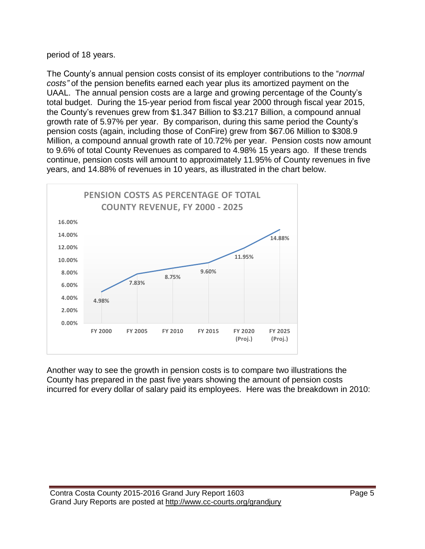#### period of 18 years.

The County's annual pension costs consist of its employer contributions to the "*normal costs"* of the pension benefits earned each year plus its amortized payment on the UAAL. The annual pension costs are a large and growing percentage of the County's total budget. During the 15-year period from fiscal year 2000 through fiscal year 2015, the County's revenues grew from \$1.347 Billion to \$3.217 Billion, a compound annual growth rate of 5.97% per year. By comparison, during this same period the County's pension costs (again, including those of ConFire) grew from \$67.06 Million to \$308.9 Million, a compound annual growth rate of 10.72% per year. Pension costs now amount to 9.6% of total County Revenues as compared to 4.98% 15 years ago. If these trends continue, pension costs will amount to approximately 11.95% of County revenues in five years, and 14.88% of revenues in 10 years, as illustrated in the chart below.



Another way to see the growth in pension costs is to compare two illustrations the County has prepared in the past five years showing the amount of pension costs incurred for every dollar of salary paid its employees. Here was the breakdown in 2010: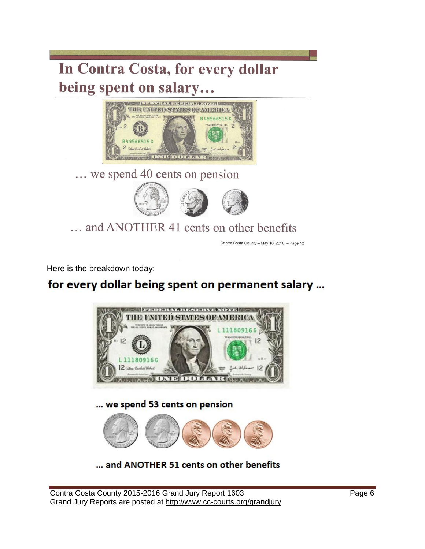# In Contra Costa, for every dollar being spent on salary...



... we spend 40 cents on pension



... and ANOTHER 41 cents on other benefits

Contra Costa County - May 18, 2010 - Page 42

Here is the breakdown today:

# for every dollar being spent on permanent salary ...



... and ANOTHER 51 cents on other benefits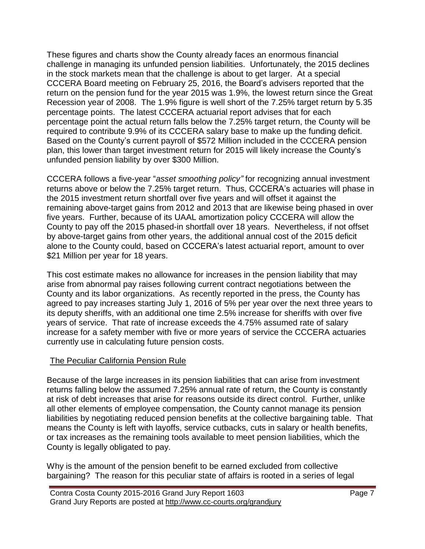These figures and charts show the County already faces an enormous financial challenge in managing its unfunded pension liabilities. Unfortunately, the 2015 declines in the stock markets mean that the challenge is about to get larger. At a special CCCERA Board meeting on February 25, 2016, the Board's advisers reported that the return on the pension fund for the year 2015 was 1.9%, the lowest return since the Great Recession year of 2008. The 1.9% figure is well short of the 7.25% target return by 5.35 percentage points. The latest CCCERA actuarial report advises that for each percentage point the actual return falls below the 7.25% target return, the County will be required to contribute 9.9% of its CCCERA salary base to make up the funding deficit. Based on the County's current payroll of \$572 Million included in the CCCERA pension plan, this lower than target investment return for 2015 will likely increase the County's unfunded pension liability by over \$300 Million.

CCCERA follows a five-year "*asset smoothing policy"* for recognizing annual investment returns above or below the 7.25% target return. Thus, CCCERA's actuaries will phase in the 2015 investment return shortfall over five years and will offset it against the remaining above-target gains from 2012 and 2013 that are likewise being phased in over five years. Further, because of its UAAL amortization policy CCCERA will allow the County to pay off the 2015 phased-in shortfall over 18 years. Nevertheless, if not offset by above-target gains from other years, the additional annual cost of the 2015 deficit alone to the County could, based on CCCERA's latest actuarial report, amount to over \$21 Million per year for 18 years.

This cost estimate makes no allowance for increases in the pension liability that may arise from abnormal pay raises following current contract negotiations between the County and its labor organizations. As recently reported in the press, the County has agreed to pay increases starting July 1, 2016 of 5% per year over the next three years to its deputy sheriffs, with an additional one time 2.5% increase for sheriffs with over five years of service. That rate of increase exceeds the 4.75% assumed rate of salary increase for a safety member with five or more years of service the CCCERA actuaries currently use in calculating future pension costs.

#### The Peculiar California Pension Rule

Because of the large increases in its pension liabilities that can arise from investment returns falling below the assumed 7.25% annual rate of return, the County is constantly at risk of debt increases that arise for reasons outside its direct control. Further, unlike all other elements of employee compensation, the County cannot manage its pension liabilities by negotiating reduced pension benefits at the collective bargaining table. That means the County is left with layoffs, service cutbacks, cuts in salary or health benefits, or tax increases as the remaining tools available to meet pension liabilities, which the County is legally obligated to pay.

Why is the amount of the pension benefit to be earned excluded from collective bargaining? The reason for this peculiar state of affairs is rooted in a series of legal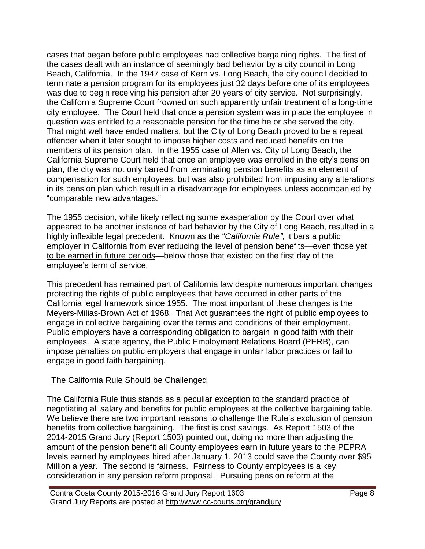cases that began before public employees had collective bargaining rights. The first of the cases dealt with an instance of seemingly bad behavior by a city council in Long Beach, California. In the 1947 case of Kern vs. Long Beach, the city council decided to terminate a pension program for its employees just 32 days before one of its employees was due to begin receiving his pension after 20 years of city service. Not surprisingly, the California Supreme Court frowned on such apparently unfair treatment of a long-time city employee. The Court held that once a pension system was in place the employee in question was entitled to a reasonable pension for the time he or she served the city. That might well have ended matters, but the City of Long Beach proved to be a repeat offender when it later sought to impose higher costs and reduced benefits on the members of its pension plan. In the 1955 case of Allen vs. City of Long Beach, the California Supreme Court held that once an employee was enrolled in the city's pension plan, the city was not only barred from terminating pension benefits as an element of compensation for such employees, but was also prohibited from imposing any alterations in its pension plan which result in a disadvantage for employees unless accompanied by "comparable new advantages."

The 1955 decision, while likely reflecting some exasperation by the Court over what appeared to be another instance of bad behavior by the City of Long Beach, resulted in a highly inflexible legal precedent. Known as the "*California Rule"*, it bars a public employer in California from ever reducing the level of pension benefits—even those yet to be earned in future periods—below those that existed on the first day of the employee's term of service.

This precedent has remained part of California law despite numerous important changes protecting the rights of public employees that have occurred in other parts of the California legal framework since 1955. The most important of these changes is the Meyers-Milias-Brown Act of 1968. That Act guarantees the right of public employees to engage in collective bargaining over the terms and conditions of their employment. Public employers have a corresponding obligation to bargain in good faith with their employees. A state agency, the Public Employment Relations Board (PERB), can impose penalties on public employers that engage in unfair labor practices or fail to engage in good faith bargaining.

#### The California Rule Should be Challenged

The California Rule thus stands as a peculiar exception to the standard practice of negotiating all salary and benefits for public employees at the collective bargaining table. We believe there are two important reasons to challenge the Rule's exclusion of pension benefits from collective bargaining. The first is cost savings. As Report 1503 of the 2014-2015 Grand Jury (Report 1503) pointed out, doing no more than adjusting the amount of the pension benefit all County employees earn in future years to the PEPRA levels earned by employees hired after January 1, 2013 could save the County over \$95 Million a year. The second is fairness. Fairness to County employees is a key consideration in any pension reform proposal. Pursuing pension reform at the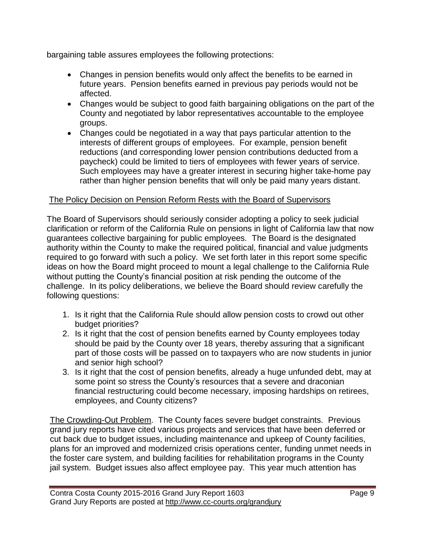bargaining table assures employees the following protections:

- Changes in pension benefits would only affect the benefits to be earned in future years. Pension benefits earned in previous pay periods would not be affected.
- Changes would be subject to good faith bargaining obligations on the part of the County and negotiated by labor representatives accountable to the employee groups.
- Changes could be negotiated in a way that pays particular attention to the interests of different groups of employees. For example, pension benefit reductions (and corresponding lower pension contributions deducted from a paycheck) could be limited to tiers of employees with fewer years of service. Such employees may have a greater interest in securing higher take-home pay rather than higher pension benefits that will only be paid many years distant.

## The Policy Decision on Pension Reform Rests with the Board of Supervisors

The Board of Supervisors should seriously consider adopting a policy to seek judicial clarification or reform of the California Rule on pensions in light of California law that now guarantees collective bargaining for public employees. The Board is the designated authority within the County to make the required political, financial and value judgments required to go forward with such a policy. We set forth later in this report some specific ideas on how the Board might proceed to mount a legal challenge to the California Rule without putting the County's financial position at risk pending the outcome of the challenge. In its policy deliberations, we believe the Board should review carefully the following questions:

- 1. Is it right that the California Rule should allow pension costs to crowd out other budget priorities?
- 2. Is it right that the cost of pension benefits earned by County employees today should be paid by the County over 18 years, thereby assuring that a significant part of those costs will be passed on to taxpayers who are now students in junior and senior high school?
- 3. Is it right that the cost of pension benefits, already a huge unfunded debt, may at some point so stress the County's resources that a severe and draconian financial restructuring could become necessary, imposing hardships on retirees, employees, and County citizens?

The Crowding-Out Problem. The County faces severe budget constraints. Previous grand jury reports have cited various projects and services that have been deferred or cut back due to budget issues, including maintenance and upkeep of County facilities, plans for an improved and modernized crisis operations center, funding unmet needs in the foster care system, and building facilities for rehabilitation programs in the County jail system. Budget issues also affect employee pay. This year much attention has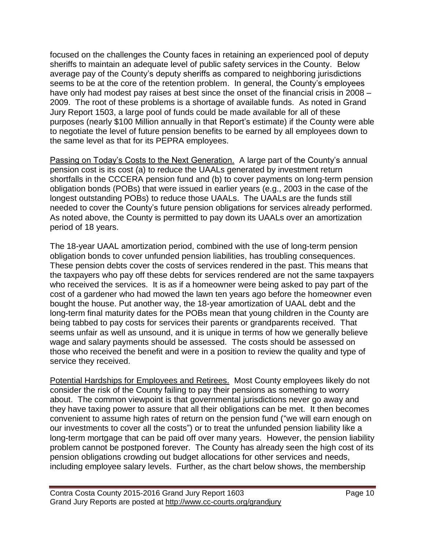focused on the challenges the County faces in retaining an experienced pool of deputy sheriffs to maintain an adequate level of public safety services in the County. Below average pay of the County's deputy sheriffs as compared to neighboring jurisdictions seems to be at the core of the retention problem. In general, the County's employees have only had modest pay raises at best since the onset of the financial crisis in 2008 – 2009. The root of these problems is a shortage of available funds. As noted in Grand Jury Report 1503, a large pool of funds could be made available for all of these purposes (nearly \$100 Million annually in that Report's estimate) if the County were able to negotiate the level of future pension benefits to be earned by all employees down to the same level as that for its PEPRA employees.

Passing on Today's Costs to the Next Generation. A large part of the County's annual pension cost is its cost (a) to reduce the UAALs generated by investment return shortfalls in the CCCERA pension fund and (b) to cover payments on long-term pension obligation bonds (POBs) that were issued in earlier years (e.g., 2003 in the case of the longest outstanding POBs) to reduce those UAALs. The UAALs are the funds still needed to cover the County's future pension obligations for services already performed. As noted above, the County is permitted to pay down its UAALs over an amortization period of 18 years.

The 18-year UAAL amortization period, combined with the use of long-term pension obligation bonds to cover unfunded pension liabilities, has troubling consequences. These pension debts cover the costs of services rendered in the past. This means that the taxpayers who pay off these debts for services rendered are not the same taxpayers who received the services. It is as if a homeowner were being asked to pay part of the cost of a gardener who had mowed the lawn ten years ago before the homeowner even bought the house. Put another way, the 18-year amortization of UAAL debt and the long-term final maturity dates for the POBs mean that young children in the County are being tabbed to pay costs for services their parents or grandparents received. That seems unfair as well as unsound, and it is unique in terms of how we generally believe wage and salary payments should be assessed. The costs should be assessed on those who received the benefit and were in a position to review the quality and type of service they received.

Potential Hardships for Employees and Retirees. Most County employees likely do not consider the risk of the County failing to pay their pensions as something to worry about. The common viewpoint is that governmental jurisdictions never go away and they have taxing power to assure that all their obligations can be met. It then becomes convenient to assume high rates of return on the pension fund ("we will earn enough on our investments to cover all the costs") or to treat the unfunded pension liability like a long-term mortgage that can be paid off over many years. However, the pension liability problem cannot be postponed forever. The County has already seen the high cost of its pension obligations crowding out budget allocations for other services and needs, including employee salary levels. Further, as the chart below shows, the membership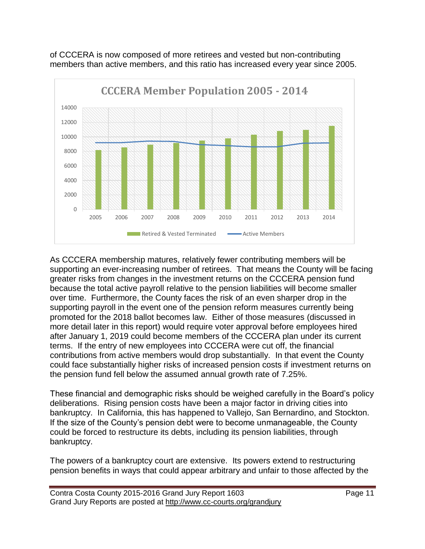

of CCCERA is now composed of more retirees and vested but non-contributing members than active members, and this ratio has increased every year since 2005.

As CCCERA membership matures, relatively fewer contributing members will be supporting an ever-increasing number of retirees. That means the County will be facing greater risks from changes in the investment returns on the CCCERA pension fund because the total active payroll relative to the pension liabilities will become smaller over time. Furthermore, the County faces the risk of an even sharper drop in the supporting payroll in the event one of the pension reform measures currently being promoted for the 2018 ballot becomes law. Either of those measures (discussed in more detail later in this report) would require voter approval before employees hired after January 1, 2019 could become members of the CCCERA plan under its current terms. If the entry of new employees into CCCERA were cut off, the financial contributions from active members would drop substantially. In that event the County could face substantially higher risks of increased pension costs if investment returns on the pension fund fell below the assumed annual growth rate of 7.25%.

These financial and demographic risks should be weighed carefully in the Board's policy deliberations. Rising pension costs have been a major factor in driving cities into bankruptcy. In California, this has happened to Vallejo, San Bernardino, and Stockton. If the size of the County's pension debt were to become unmanageable, the County could be forced to restructure its debts, including its pension liabilities, through bankruptcy.

The powers of a bankruptcy court are extensive. Its powers extend to restructuring pension benefits in ways that could appear arbitrary and unfair to those affected by the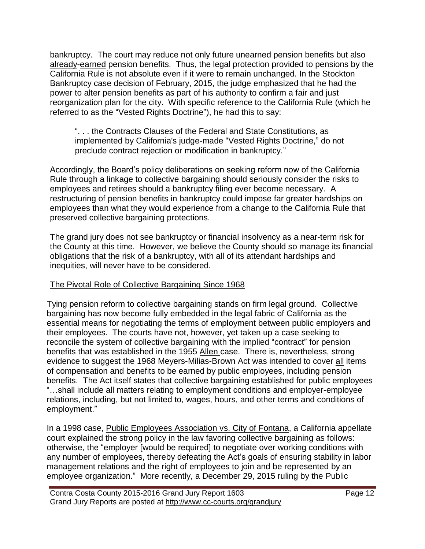bankruptcy. The court may reduce not only future unearned pension benefits but also already-earned pension benefits. Thus, the legal protection provided to pensions by the California Rule is not absolute even if it were to remain unchanged. In the Stockton Bankruptcy case decision of February, 2015, the judge emphasized that he had the power to alter pension benefits as part of his authority to confirm a fair and just reorganization plan for the city. With specific reference to the California Rule (which he referred to as the "Vested Rights Doctrine"), he had this to say:

". . . the Contracts Clauses of the Federal and State Constitutions, as implemented by California's judge-made "Vested Rights Doctrine," do not preclude contract rejection or modification in bankruptcy."

Accordingly, the Board's policy deliberations on seeking reform now of the California Rule through a linkage to collective bargaining should seriously consider the risks to employees and retirees should a bankruptcy filing ever become necessary. A restructuring of pension benefits in bankruptcy could impose far greater hardships on employees than what they would experience from a change to the California Rule that preserved collective bargaining protections.

The grand jury does not see bankruptcy or financial insolvency as a near-term risk for the County at this time. However, we believe the County should so manage its financial obligations that the risk of a bankruptcy, with all of its attendant hardships and inequities, will never have to be considered.

#### The Pivotal Role of Collective Bargaining Since 1968

Tying pension reform to collective bargaining stands on firm legal ground. Collective bargaining has now become fully embedded in the legal fabric of California as the essential means for negotiating the terms of employment between public employers and their employees. The courts have not, however, yet taken up a case seeking to reconcile the system of collective bargaining with the implied "contract" for pension benefits that was established in the 1955 Allen case. There is, nevertheless, strong evidence to suggest the 1968 Meyers-Milias-Brown Act was intended to cover all items of compensation and benefits to be earned by public employees, including pension benefits. The Act itself states that collective bargaining established for public employees "…shall include all matters relating to employment conditions and employer-employee relations, including, but not limited to, wages, hours, and other terms and conditions of employment."

In a 1998 case, Public Employees Association vs. City of Fontana, a California appellate court explained the strong policy in the law favoring collective bargaining as follows: otherwise, the "employer [would be required] to negotiate over working conditions with any number of employees, thereby defeating the Act's goals of ensuring stability in labor management relations and the right of employees to join and be represented by an employee organization." More recently, a December 29, 2015 ruling by the Public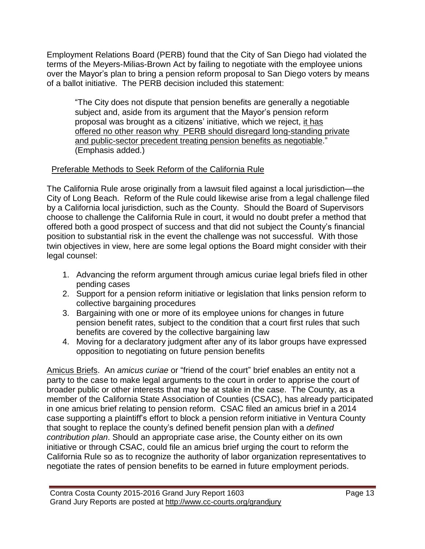Employment Relations Board (PERB) found that the City of San Diego had violated the terms of the Meyers-Milias-Brown Act by failing to negotiate with the employee unions over the Mayor's plan to bring a pension reform proposal to San Diego voters by means of a ballot initiative. The PERB decision included this statement:

"The City does not dispute that pension benefits are generally a negotiable subject and, aside from its argument that the Mayor's pension reform proposal was brought as a citizens' initiative, which we reject, it has offered no other reason why PERB should disregard long-standing private and public-sector precedent treating pension benefits as negotiable." (Emphasis added.)

## Preferable Methods to Seek Reform of the California Rule

The California Rule arose originally from a lawsuit filed against a local jurisdiction—the City of Long Beach. Reform of the Rule could likewise arise from a legal challenge filed by a California local jurisdiction, such as the County. Should the Board of Supervisors choose to challenge the California Rule in court, it would no doubt prefer a method that offered both a good prospect of success and that did not subject the County's financial position to substantial risk in the event the challenge was not successful. With those twin objectives in view, here are some legal options the Board might consider with their legal counsel:

- 1. Advancing the reform argument through amicus curiae legal briefs filed in other pending cases
- 2. Support for a pension reform initiative or legislation that links pension reform to collective bargaining procedures
- 3. Bargaining with one or more of its employee unions for changes in future pension benefit rates, subject to the condition that a court first rules that such benefits are covered by the collective bargaining law
- 4. Moving for a declaratory judgment after any of its labor groups have expressed opposition to negotiating on future pension benefits

Amicus Briefs. An *amicus curiae* or "friend of the court" brief enables an entity not a party to the case to make legal arguments to the court in order to apprise the court of broader public or other interests that may be at stake in the case. The County, as a member of the California State Association of Counties (CSAC), has already participated in one amicus brief relating to pension reform. CSAC filed an amicus brief in a 2014 case supporting a plaintiff's effort to block a pension reform initiative in Ventura County that sought to replace the county's defined benefit pension plan with a *defined contribution plan*. Should an appropriate case arise, the County either on its own initiative or through CSAC, could file an amicus brief urging the court to reform the California Rule so as to recognize the authority of labor organization representatives to negotiate the rates of pension benefits to be earned in future employment periods.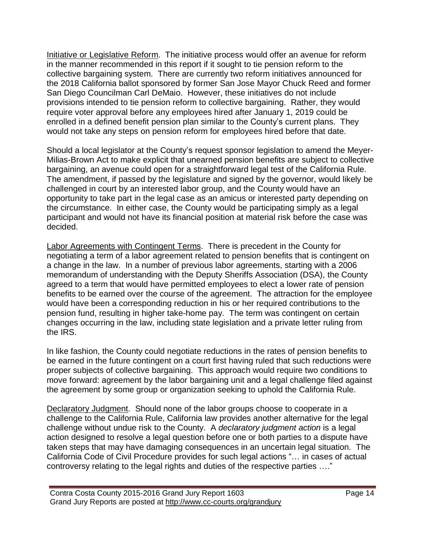Initiative or Legislative Reform. The initiative process would offer an avenue for reform in the manner recommended in this report if it sought to tie pension reform to the collective bargaining system. There are currently two reform initiatives announced for the 2018 California ballot sponsored by former San Jose Mayor Chuck Reed and former San Diego Councilman Carl DeMaio. However, these initiatives do not include provisions intended to tie pension reform to collective bargaining. Rather, they would require voter approval before any employees hired after January 1, 2019 could be enrolled in a defined benefit pension plan similar to the County's current plans. They would not take any steps on pension reform for employees hired before that date.

Should a local legislator at the County's request sponsor legislation to amend the Meyer-Milias-Brown Act to make explicit that unearned pension benefits are subject to collective bargaining, an avenue could open for a straightforward legal test of the California Rule. The amendment, if passed by the legislature and signed by the governor, would likely be challenged in court by an interested labor group, and the County would have an opportunity to take part in the legal case as an amicus or interested party depending on the circumstance. In either case, the County would be participating simply as a legal participant and would not have its financial position at material risk before the case was decided.

Labor Agreements with Contingent Terms. There is precedent in the County for negotiating a term of a labor agreement related to pension benefits that is contingent on a change in the law. In a number of previous labor agreements, starting with a 2006 memorandum of understanding with the Deputy Sheriffs Association (DSA), the County agreed to a term that would have permitted employees to elect a lower rate of pension benefits to be earned over the course of the agreement. The attraction for the employee would have been a corresponding reduction in his or her required contributions to the pension fund, resulting in higher take-home pay. The term was contingent on certain changes occurring in the law, including state legislation and a private letter ruling from the IRS.

In like fashion, the County could negotiate reductions in the rates of pension benefits to be earned in the future contingent on a court first having ruled that such reductions were proper subjects of collective bargaining. This approach would require two conditions to move forward: agreement by the labor bargaining unit and a legal challenge filed against the agreement by some group or organization seeking to uphold the California Rule.

Declaratory Judgment. Should none of the labor groups choose to cooperate in a challenge to the California Rule, California law provides another alternative for the legal challenge without undue risk to the County. A *declaratory judgment action* is a legal action designed to resolve a legal question before one or both parties to a dispute have taken steps that may have damaging consequences in an uncertain legal situation. The California Code of Civil Procedure provides for such legal actions "… in cases of actual controversy relating to the legal rights and duties of the respective parties …."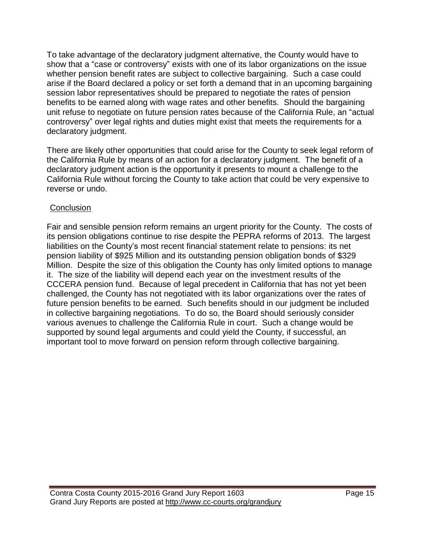To take advantage of the declaratory judgment alternative, the County would have to show that a "case or controversy" exists with one of its labor organizations on the issue whether pension benefit rates are subject to collective bargaining. Such a case could arise if the Board declared a policy or set forth a demand that in an upcoming bargaining session labor representatives should be prepared to negotiate the rates of pension benefits to be earned along with wage rates and other benefits. Should the bargaining unit refuse to negotiate on future pension rates because of the California Rule, an "actual controversy" over legal rights and duties might exist that meets the requirements for a declaratory judgment.

There are likely other opportunities that could arise for the County to seek legal reform of the California Rule by means of an action for a declaratory judgment. The benefit of a declaratory judgment action is the opportunity it presents to mount a challenge to the California Rule without forcing the County to take action that could be very expensive to reverse or undo.

#### **Conclusion**

Fair and sensible pension reform remains an urgent priority for the County. The costs of its pension obligations continue to rise despite the PEPRA reforms of 2013. The largest liabilities on the County's most recent financial statement relate to pensions: its net pension liability of \$925 Million and its outstanding pension obligation bonds of \$329 Million. Despite the size of this obligation the County has only limited options to manage it. The size of the liability will depend each year on the investment results of the CCCERA pension fund. Because of legal precedent in California that has not yet been challenged, the County has not negotiated with its labor organizations over the rates of future pension benefits to be earned. Such benefits should in our judgment be included in collective bargaining negotiations. To do so, the Board should seriously consider various avenues to challenge the California Rule in court. Such a change would be supported by sound legal arguments and could yield the County, if successful, an important tool to move forward on pension reform through collective bargaining.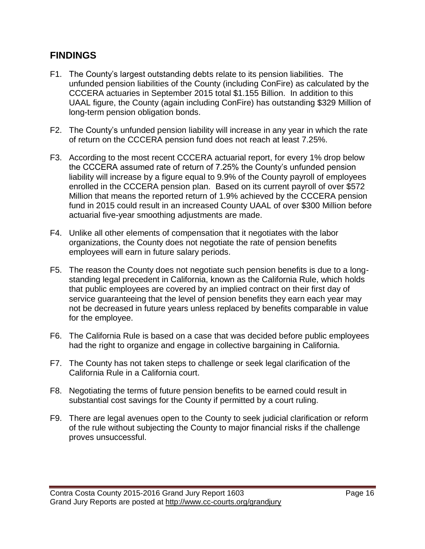## **FINDINGS**

- F1. The County's largest outstanding debts relate to its pension liabilities. The unfunded pension liabilities of the County (including ConFire) as calculated by the CCCERA actuaries in September 2015 total \$1.155 Billion. In addition to this UAAL figure, the County (again including ConFire) has outstanding \$329 Million of long-term pension obligation bonds.
- F2. The County's unfunded pension liability will increase in any year in which the rate of return on the CCCERA pension fund does not reach at least 7.25%.
- F3. According to the most recent CCCERA actuarial report, for every 1% drop below the CCCERA assumed rate of return of 7.25% the County's unfunded pension liability will increase by a figure equal to 9.9% of the County payroll of employees enrolled in the CCCERA pension plan. Based on its current payroll of over \$572 Million that means the reported return of 1.9% achieved by the CCCERA pension fund in 2015 could result in an increased County UAAL of over \$300 Million before actuarial five-year smoothing adjustments are made.
- F4. Unlike all other elements of compensation that it negotiates with the labor organizations, the County does not negotiate the rate of pension benefits employees will earn in future salary periods.
- F5. The reason the County does not negotiate such pension benefits is due to a longstanding legal precedent in California, known as the California Rule, which holds that public employees are covered by an implied contract on their first day of service guaranteeing that the level of pension benefits they earn each year may not be decreased in future years unless replaced by benefits comparable in value for the employee.
- F6. The California Rule is based on a case that was decided before public employees had the right to organize and engage in collective bargaining in California.
- F7. The County has not taken steps to challenge or seek legal clarification of the California Rule in a California court.
- F8. Negotiating the terms of future pension benefits to be earned could result in substantial cost savings for the County if permitted by a court ruling.
- F9. There are legal avenues open to the County to seek judicial clarification or reform of the rule without subjecting the County to major financial risks if the challenge proves unsuccessful.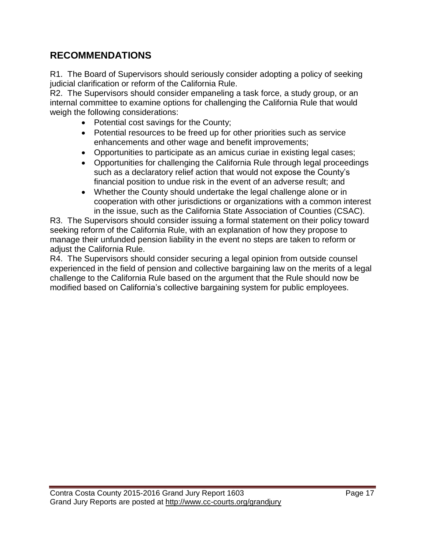## **RECOMMENDATIONS**

R1. The Board of Supervisors should seriously consider adopting a policy of seeking judicial clarification or reform of the California Rule.

R2. The Supervisors should consider empaneling a task force, a study group, or an internal committee to examine options for challenging the California Rule that would weigh the following considerations:

- Potential cost savings for the County;
- Potential resources to be freed up for other priorities such as service enhancements and other wage and benefit improvements;
- Opportunities to participate as an amicus curiae in existing legal cases;
- Opportunities for challenging the California Rule through legal proceedings such as a declaratory relief action that would not expose the County's financial position to undue risk in the event of an adverse result; and
- Whether the County should undertake the legal challenge alone or in cooperation with other jurisdictions or organizations with a common interest in the issue, such as the California State Association of Counties (CSAC).

R3. The Supervisors should consider issuing a formal statement on their policy toward seeking reform of the California Rule, with an explanation of how they propose to manage their unfunded pension liability in the event no steps are taken to reform or adjust the California Rule.

R4. The Supervisors should consider securing a legal opinion from outside counsel experienced in the field of pension and collective bargaining law on the merits of a legal challenge to the California Rule based on the argument that the Rule should now be modified based on California's collective bargaining system for public employees.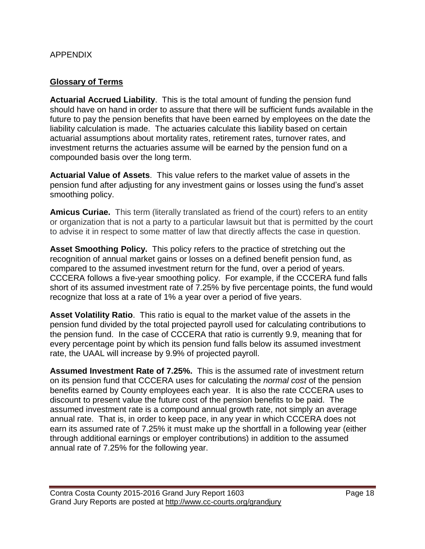#### APPENDIX

### **Glossary of Terms**

**Actuarial Accrued Liability**. This is the total amount of funding the pension fund should have on hand in order to assure that there will be sufficient funds available in the future to pay the pension benefits that have been earned by employees on the date the liability calculation is made. The actuaries calculate this liability based on certain actuarial assumptions about mortality rates, retirement rates, turnover rates, and investment returns the actuaries assume will be earned by the pension fund on a compounded basis over the long term.

**Actuarial Value of Assets**. This value refers to the market value of assets in the pension fund after adjusting for any investment gains or losses using the fund's asset smoothing policy.

**Amicus Curiae.** This term (literally translated as friend of the court) refers to an entity or organization that is not a party to a particular lawsuit but that is permitted by the court to advise it in respect to some matter of law that directly affects the case in question.

**Asset Smoothing Policy.** This policy refers to the practice of stretching out the recognition of annual market gains or losses on a defined benefit pension fund, as compared to the assumed investment return for the fund, over a period of years. CCCERA follows a five-year smoothing policy. For example, if the CCCERA fund falls short of its assumed investment rate of 7.25% by five percentage points, the fund would recognize that loss at a rate of 1% a year over a period of five years.

**Asset Volatility Ratio**. This ratio is equal to the market value of the assets in the pension fund divided by the total projected payroll used for calculating contributions to the pension fund. In the case of CCCERA that ratio is currently 9.9, meaning that for every percentage point by which its pension fund falls below its assumed investment rate, the UAAL will increase by 9.9% of projected payroll.

**Assumed Investment Rate of 7.25%.** This is the assumed rate of investment return on its pension fund that CCCERA uses for calculating the *normal cost* of the pension benefits earned by County employees each year. It is also the rate CCCERA uses to discount to present value the future cost of the pension benefits to be paid. The assumed investment rate is a compound annual growth rate, not simply an average annual rate. That is, in order to keep pace, in any year in which CCCERA does not earn its assumed rate of 7.25% it must make up the shortfall in a following year (either through additional earnings or employer contributions) in addition to the assumed annual rate of 7.25% for the following year.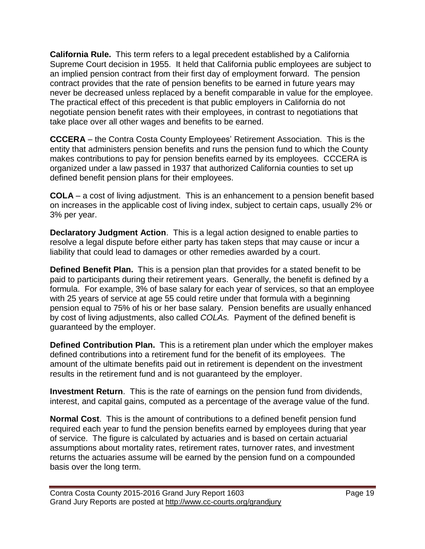**California Rule.** This term refers to a legal precedent established by a California Supreme Court decision in 1955. It held that California public employees are subject to an implied pension contract from their first day of employment forward. The pension contract provides that the rate of pension benefits to be earned in future years may never be decreased unless replaced by a benefit comparable in value for the employee. The practical effect of this precedent is that public employers in California do not negotiate pension benefit rates with their employees, in contrast to negotiations that take place over all other wages and benefits to be earned.

**CCCERA** – the Contra Costa County Employees' Retirement Association. This is the entity that administers pension benefits and runs the pension fund to which the County makes contributions to pay for pension benefits earned by its employees. CCCERA is organized under a law passed in 1937 that authorized California counties to set up defined benefit pension plans for their employees.

**COLA** – a cost of living adjustment. This is an enhancement to a pension benefit based on increases in the applicable cost of living index, subject to certain caps, usually 2% or 3% per year.

**Declaratory Judgment Action**. This is a legal action designed to enable parties to resolve a legal dispute before either party has taken steps that may cause or incur a liability that could lead to damages or other remedies awarded by a court.

**Defined Benefit Plan.** This is a pension plan that provides for a stated benefit to be paid to participants during their retirement years. Generally, the benefit is defined by a formula. For example, 3% of base salary for each year of services, so that an employee with 25 years of service at age 55 could retire under that formula with a beginning pension equal to 75% of his or her base salary. Pension benefits are usually enhanced by cost of living adjustments, also called *COLAs.* Payment of the defined benefit is guaranteed by the employer.

**Defined Contribution Plan.** This is a retirement plan under which the employer makes defined contributions into a retirement fund for the benefit of its employees. The amount of the ultimate benefits paid out in retirement is dependent on the investment results in the retirement fund and is not guaranteed by the employer.

**Investment Return**. This is the rate of earnings on the pension fund from dividends, interest, and capital gains, computed as a percentage of the average value of the fund.

**Normal Cost**. This is the amount of contributions to a defined benefit pension fund required each year to fund the pension benefits earned by employees during that year of service. The figure is calculated by actuaries and is based on certain actuarial assumptions about mortality rates, retirement rates, turnover rates, and investment returns the actuaries assume will be earned by the pension fund on a compounded basis over the long term.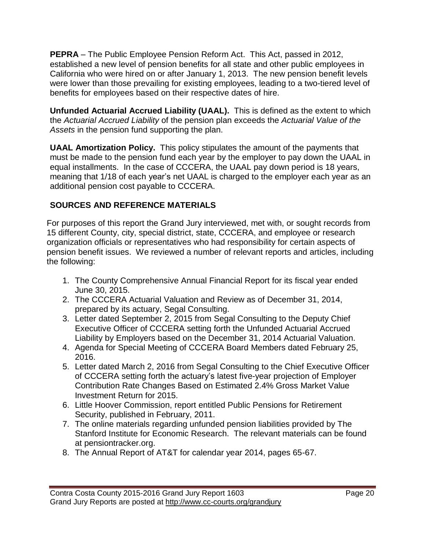**PEPRA** – The Public Employee Pension Reform Act. This Act, passed in 2012, established a new level of pension benefits for all state and other public employees in California who were hired on or after January 1, 2013. The new pension benefit levels were lower than those prevailing for existing employees, leading to a two-tiered level of benefits for employees based on their respective dates of hire.

**Unfunded Actuarial Accrued Liability (UAAL).** This is defined as the extent to which the *Actuarial Accrued Liability* of the pension plan exceeds the *Actuarial Value of the Assets* in the pension fund supporting the plan.

**UAAL Amortization Policy.** This policy stipulates the amount of the payments that must be made to the pension fund each year by the employer to pay down the UAAL in equal installments. In the case of CCCERA, the UAAL pay down period is 18 years, meaning that 1/18 of each year's net UAAL is charged to the employer each year as an additional pension cost payable to CCCERA.

## **SOURCES AND REFERENCE MATERIALS**

For purposes of this report the Grand Jury interviewed, met with, or sought records from 15 different County, city, special district, state, CCCERA, and employee or research organization officials or representatives who had responsibility for certain aspects of pension benefit issues. We reviewed a number of relevant reports and articles, including the following:

- 1. The County Comprehensive Annual Financial Report for its fiscal year ended June 30, 2015.
- 2. The CCCERA Actuarial Valuation and Review as of December 31, 2014, prepared by its actuary, Segal Consulting.
- 3. Letter dated September 2, 2015 from Segal Consulting to the Deputy Chief Executive Officer of CCCERA setting forth the Unfunded Actuarial Accrued Liability by Employers based on the December 31, 2014 Actuarial Valuation.
- 4. Agenda for Special Meeting of CCCERA Board Members dated February 25, 2016.
- 5. Letter dated March 2, 2016 from Segal Consulting to the Chief Executive Officer of CCCERA setting forth the actuary's latest five-year projection of Employer Contribution Rate Changes Based on Estimated 2.4% Gross Market Value Investment Return for 2015.
- 6. Little Hoover Commission, report entitled Public Pensions for Retirement Security, published in February, 2011.
- 7. The online materials regarding unfunded pension liabilities provided by The Stanford Institute for Economic Research. The relevant materials can be found at pensiontracker.org.
- 8. The Annual Report of AT&T for calendar year 2014, pages 65-67.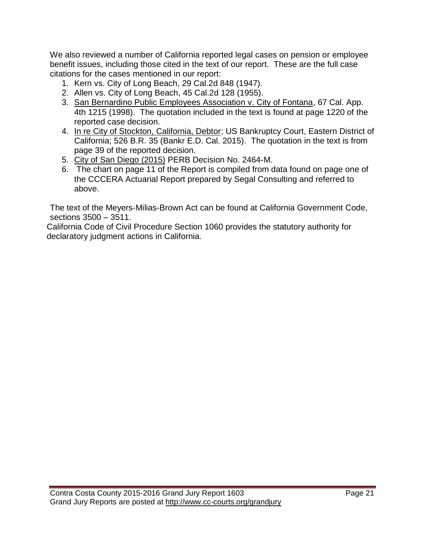We also reviewed a number of California reported legal cases on pension or employee benefit issues, including those cited in the text of our report. These are the full case citations for the cases mentioned in our report:

- 1. Kern vs. City of Long Beach, 29 Cal.2d 848 (1947).
- 2. Allen vs. City of Long Beach, 45 Cal.2d 128 (1955).
- 3. San Bernardino Public Employees Association v. City of Fontana, 67 Cal. App. 4th 1215 (1998). The quotation included in the text is found at page 1220 of the reported case decision.
- 4. In re City of Stockton, California, Debtor; US Bankruptcy Court, Eastern District of California; 526 B.R. 35 (Bankr E.D. Cal. 2015). The quotation in the text is from page 39 of the reported decision.
- 5. City of San Diego (2015) PERB Decision No. 2464-M.
- 6. The chart on page 11 of the Report is compiled from data found on page one of the CCCERA Actuarial Report prepared by Segal Consulting and referred to above.

The text of the Meyers-Milias-Brown Act can be found at California Government Code, sections 3500 – 3511.

California Code of Civil Procedure Section 1060 provides the statutory authority for declaratory judgment actions in California.